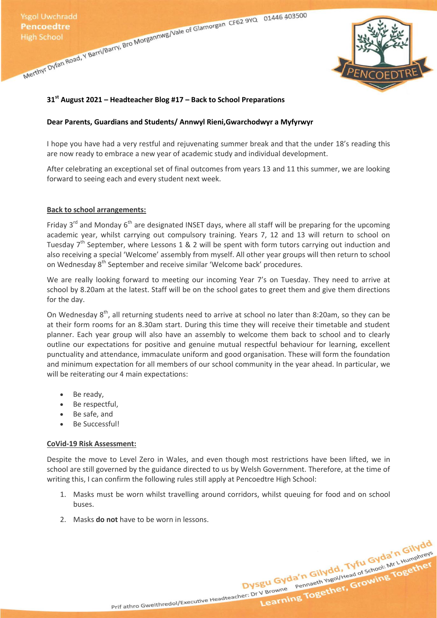Ysgol Uwchradd<br>
Pencoedtre<br>
High School<br>
Merthyr Dyfan Road, Y Barri/Barry, Bro Morgannwg/Vale of Glamorgan CF62 9YQ<br>
Merthyr Dyfan Road, Y Barri/Barry, Bro Morgannwg/Vale of Glamorgan CF62 9YQ<br>
Merthyr Dyfan Road, Y Barri



# **31st August 2021 – Headteacher Blog #17 – Back to School Preparations**

### **Dear Parents, Guardians and Students/ Annwyl Rieni,Gwarchodwyr a Myfyrwyr**

I hope you have had a very restful and rejuvenating summer break and that the under 18's reading this are now ready to embrace a new year of academic study and individual development.

After celebrating an exceptional set of final outcomes from years 13 and 11 this summer, we are looking forward to seeing each and every student next week.

#### **Back to school arrangements:**

Friday  $3^{rd}$  and Monday  $6^{th}$  are designated INSET days, where all staff will be preparing for the upcoming academic year, whilst carrying out compulsory training. Years 7, 12 and 13 will return to school on Tuesday  $7<sup>th</sup>$  September, where Lessons 1 & 2 will be spent with form tutors carrying out induction and also receiving a special 'Welcome' assembly from myself. All other year groups will then return to school on Wednesday 8<sup>th</sup> September and receive similar 'Welcome back' procedures.

We are really looking forward to meeting our incoming Year 7's on Tuesday. They need to arrive at school by 8.20am at the latest. Staff will be on the school gates to greet them and give them directions for the day.

On Wednesday 8<sup>th</sup>, all returning students need to arrive at school no later than 8:20am, so they can be at their form rooms for an 8.30am start. During this time they will receive their timetable and student planner. Each year group will also have an assembly to welcome them back to school and to clearly outline our expectations for positive and genuine mutual respectful behaviour for learning, excellent punctuality and attendance, immaculate uniform and good organisation. These will form the foundation and minimum expectation for all members of our school community in the year ahead. In particular, we will be reiterating our 4 main expectations:

- Be ready,
- Be respectful,
- Be safe, and
- Be Successful!

## **CoVid-19 Risk Assessment:**

Despite the move to Level Zero in Wales, and even though most restrictions have been lifted, we in school are still governed by the guidance directed to us by Welsh Government. Therefore, at the time of writing this, I can confirm the following rules still apply at Pencoedtre High School:

1. Masks must be worn whilst travelling around corridors, whilst queuing for food and on school buses.

Prif athro Gweithredol/Executive Headteacher: Dr V Browne Pennaeth Ysgol/Head of School: Mr L Humphreys

Dysgu Gyda'n Gilydd, Tyfu Gyda'n Gilydd<br>Dysgu Gyda'n Gilydd, Tyfu Gyda'n Gilydd<br>Dysgu Gyda'n Gilydd, Tyfu Gyda'n Gilydd<br>Ing Together, Growing Together

2. Masks **do not** have to be worn in lessons.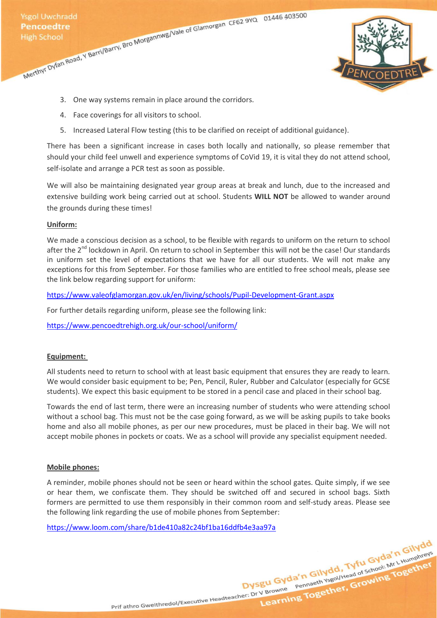

- 3. One way systems remain in place around the corridors.
- 4. Face coverings for all visitors to school.
- 5. Increased Lateral Flow testing (this to be clarified on receipt of additional guidance).

There has been a significant increase in cases both locally and nationally, so please remember that should your child feel unwell and experience symptoms of CoVid 19, it is vital they do not attend school, self-isolate and arrange a PCR test as soon as possible.

We will also be maintaining designated year group areas at break and lunch, due to the increased and extensive building work being carried out at school. Students **WILL NOT** be allowed to wander around the grounds during these times!

## **Uniform:**

We made a conscious decision as a school, to be flexible with regards to uniform on the return to school after the 2<sup>nd</sup> lockdown in April. On return to school in September this will not be the case! Our standards in uniform set the level of expectations that we have for all our students. We will not make any exceptions for this from September. For those families who are entitled to free school meals, please see the link below regarding support for uniform:

[https://www.valeofglamorgan.gov.uk/en/living/schools/Pupil-Development-Grant.aspx](https://eur02.safelinks.protection.outlook.com/?url=https%3A%2F%2Fwww.valeofglamorgan.gov.uk%2Fen%2Fliving%2Fschools%2FPupil-Development-Grant.aspx&data=04%7C01%7CL.Humphreys%40phschool.co.uk%7C54a2adf82bb74ea0a4ff08d962233ce4%7C4f3f0e52b734416494091b601d147993%7C0%7C0%7C637648726205514178%7CUnknown%7CTWFpbGZsb3d8eyJWIjoiMC4wLjAwMDAiLCJQIjoiV2luMzIiLCJBTiI6Ik1haWwiLCJXVCI6Mn0%3D%7C1000&sdata=qdCNbQlJ3S2o5B6gr4BegLEIK2Uvl4tJ1AQIL1bIPSI%3D&reserved=0)

For further details regarding uniform, please see the following link:

<https://www.pencoedtrehigh.org.uk/our-school/uniform/>

## **Equipment:**

All students need to return to school with at least basic equipment that ensures they are ready to learn. We would consider basic equipment to be; Pen, Pencil, Ruler, Rubber and Calculator (especially for GCSE students). We expect this basic equipment to be stored in a pencil case and placed in their school bag.

Towards the end of last term, there were an increasing number of students who were attending school without a school bag. This must not be the case going forward, as we will be asking pupils to take books home and also all mobile phones, as per our new procedures, must be placed in their bag. We will not accept mobile phones in pockets or coats. We as a school will provide any specialist equipment needed.

#### **Mobile phones:**

A reminder, mobile phones should not be seen or heard within the school gates. Quite simply, if we see or hear them, we confiscate them. They should be switched off and secured in school bags. Sixth formers are permitted to use them responsibly in their common room and self-study areas. Please see the following link regarding the use of mobile phones from September:

[https://www.loom.com/share/b1de410a82c24bf1ba16ddfb4e3aa97a](https://eur02.safelinks.protection.outlook.com/?url=https%3A%2F%2Fwww.loom.com%2Fshare%2Fb1de410a82c24bf1ba16ddfb4e3aa97a&data=04%7C01%7CL.Humphreys%40phschool.co.uk%7Ceb91bf38ab1e466e101208d948373df9%7C4f3f0e52b734416494091b601d147993%7C0%7C0%7C637620224356649578%7CUnknown%7CTWFpbGZsb3d8eyJWIjoiMC4wLjAwMDAiLCJQIjoiV2luMzIiLCJBTiI6Ik1haWwiLCJXVCI6Mn0%3D%7C1000&sdata=sXXstt6csZQbQskbNzubetA8b3FbTyvePkI54s6bA6A%3D&reserved=0)